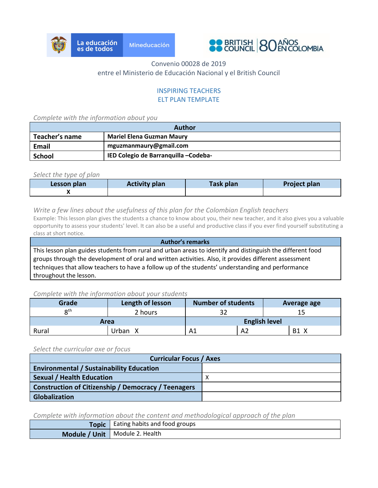



### INSPIRING TEACHERS ELT PLAN TEMPLATE

*Complete with the information about you*

| <b>Author</b>                                                |                                  |  |
|--------------------------------------------------------------|----------------------------------|--|
| Teacher's name                                               | <b>Mariel Elena Guzman Maury</b> |  |
| Email                                                        | mguzmanmaury@gmail.com           |  |
| <b>IED Colegio de Barranquilla –Codeba-</b><br><b>School</b> |                                  |  |

*Select the type of plan*

| Lesson plan | <b>Activity plan</b> | <b>Task plan</b> | Project plan |
|-------------|----------------------|------------------|--------------|
|             |                      |                  |              |

#### *Write a few lines about the usefulness of this plan for the Colombian English teachers*

Example: This lesson plan gives the students a chance to know about you, their new teacher, and it also gives you a valuable opportunity to assess your students' level. It can also be a useful and productive class if you ever find yourself substituting a class at short notice.

**Author's remarks** This lesson plan guides students from rural and urban areas to identify and distinguish the different food groups through the development of oral and written activities. Also, it provides different assessment techniques that allow teachers to have a follow up of the students' understanding and performance throughout the lesson.

#### *Complete with the information about your students*

| Grade | Length of lesson | <b>Number of students</b> |    | Average age |                          |
|-------|------------------|---------------------------|----|-------------|--------------------------|
| oth   | 2 hours          |                           |    |             |                          |
| Area  |                  | <b>English level</b>      |    |             |                          |
| Rural | Jrban X          | Α1                        | A2 |             | <b>B1</b><br>$\mathbf v$ |

*Select the curricular axe or focus*

| <b>Curricular Focus / Axes</b>                             |  |  |
|------------------------------------------------------------|--|--|
| <b>Environmental / Sustainability Education</b>            |  |  |
| <b>Sexual / Health Education</b>                           |  |  |
| <b>Construction of Citizenship / Democracy / Teenagers</b> |  |  |
| <b>Globalization</b>                                       |  |  |

*Complete with information about the content and methodological approach of the plan*

| Topic   Eating habits and food groups |
|---------------------------------------|
| Module / Unit   Module 2. Health      |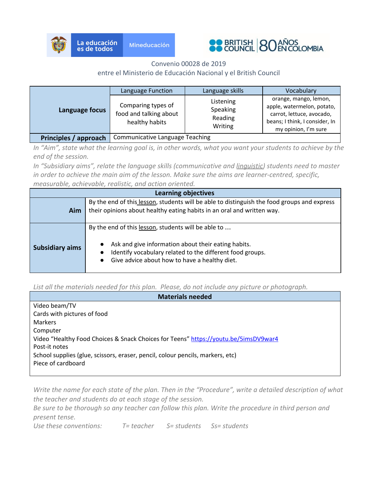



|                       | Language Function                                              | Language skills                             | Vocabulary                                                                                                                                 |
|-----------------------|----------------------------------------------------------------|---------------------------------------------|--------------------------------------------------------------------------------------------------------------------------------------------|
| Language focus        | Comparing types of<br>food and talking about<br>healthy habits | Listening<br>Speaking<br>Reading<br>Writing | orange, mango, lemon,<br>apple, watermelon, potato,<br>carrot, lettuce, avocado,<br>beans; I think, I consider, In<br>my opinion, I'm sure |
| Principles / approach | <b>Communicative Language Teaching</b>                         |                                             |                                                                                                                                            |

*In "Aim", state what the learning goal is, in other words, what you want your students to achieve by the end of the session.*

*In "Subsidiary aims", relate the language skills (communicative and linguistic) students need to master in order to achieve the main aim of the lesson. Make sure the aims are learner-centred, specific, measurable, achievable, realistic, and action oriented.*

| <b>Learning objectives</b> |                                                                                                                                                                                                                                                    |  |  |
|----------------------------|----------------------------------------------------------------------------------------------------------------------------------------------------------------------------------------------------------------------------------------------------|--|--|
| Aim                        | By the end of this lesson, students will be able to distinguish the food groups and express<br>their opinions about healthy eating habits in an oral and written way.                                                                              |  |  |
| <b>Subsidiary aims</b>     | By the end of this lesson, students will be able to<br>Ask and give information about their eating habits.<br>Identify vocabulary related to the different food groups.<br>$\bullet$<br>Give advice about how to have a healthy diet.<br>$\bullet$ |  |  |

*List all the materials needed for this plan. Please, do not include any picture or photograph.*

| <b>Materials needed</b>                                                             |
|-------------------------------------------------------------------------------------|
| Video beam/TV                                                                       |
| Cards with pictures of food                                                         |
| <b>Markers</b>                                                                      |
| Computer                                                                            |
| Video "Healthy Food Choices & Snack Choices for Teens" https://youtu.be/5imsDV9war4 |
| Post-it notes                                                                       |
| School supplies (glue, scissors, eraser, pencil, colour pencils, markers, etc)      |
| Piece of cardboard                                                                  |
|                                                                                     |

*Write the name for each state of the plan. Then in the "Procedure", write a detailed description of what the teacher and students do at each stage of the session.*

*Be sure to be thorough so any teacher can follow this plan. Write the procedure in third person and present tense.*

*Use these conventions: T= teacher S= students Ss= students*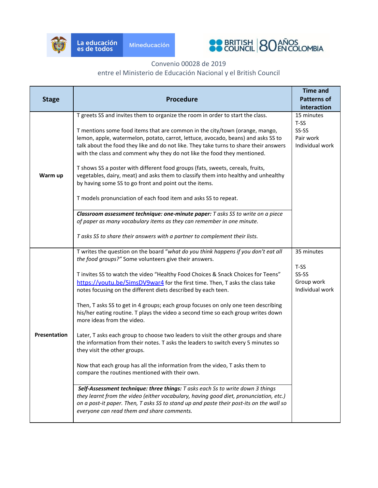



### Convenio 00028 de 2019

# entre el Ministerio de Educación Nacional y el British Council

|                     |                                                                                                                                                                         | <b>Time and</b>    |
|---------------------|-------------------------------------------------------------------------------------------------------------------------------------------------------------------------|--------------------|
| <b>Stage</b>        | <b>Procedure</b>                                                                                                                                                        | <b>Patterns of</b> |
|                     |                                                                                                                                                                         | interaction        |
|                     | T greets SS and invites them to organize the room in order to start the class.                                                                                          | 15 minutes         |
|                     |                                                                                                                                                                         | T-SS               |
|                     | T mentions some food items that are common in the city/town (orange, mango,                                                                                             | SS-SS              |
|                     | lemon, apple, watermelon, potato, carrot, lettuce, avocado, beans) and asks SS to                                                                                       | Pair work          |
|                     | talk about the food they like and do not like. They take turns to share their answers                                                                                   | Individual work    |
|                     | with the class and comment why they do not like the food they mentioned.                                                                                                |                    |
|                     | T shows SS a poster with different food groups (fats, sweets, cereals, fruits,                                                                                          |                    |
| Warm up             | vegetables, dairy, meat) and asks them to classify them into healthy and unhealthy                                                                                      |                    |
|                     | by having some SS to go front and point out the items.                                                                                                                  |                    |
|                     | T models pronunciation of each food item and asks SS to repeat.                                                                                                         |                    |
|                     |                                                                                                                                                                         |                    |
|                     | Classroom assessment technique: one-minute paper: T asks SS to write on a piece                                                                                         |                    |
|                     | of paper as many vocabulary items as they can remember in one minute.                                                                                                   |                    |
|                     | T asks SS to share their answers with a partner to complement their lists.                                                                                              |                    |
|                     |                                                                                                                                                                         |                    |
|                     | T writes the question on the board "what do you think happens if you don't eat all                                                                                      | 35 minutes         |
|                     | the food groups?" Some volunteers give their answers.                                                                                                                   | T-SS               |
|                     | T invites SS to watch the video "Healthy Food Choices & Snack Choices for Teens"                                                                                        | SS-SS              |
|                     | https://youtu.be/5imsDV9war4 for the first time. Then, T asks the class take                                                                                            | Group work         |
|                     | notes focusing on the different diets described by each teen.                                                                                                           | Individual work    |
|                     |                                                                                                                                                                         |                    |
|                     | Then, T asks SS to get in 4 groups; each group focuses on only one teen describing<br>his/her eating routine. T plays the video a second time so each group writes down |                    |
|                     | more ideas from the video.                                                                                                                                              |                    |
| <b>Presentation</b> |                                                                                                                                                                         |                    |
|                     | Later, T asks each group to choose two leaders to visit the other groups and share<br>the information from their notes. T asks the leaders to switch every 5 minutes so |                    |
|                     | they visit the other groups.                                                                                                                                            |                    |
|                     | Now that each group has all the information from the video, T asks them to                                                                                              |                    |
|                     | compare the routines mentioned with their own.                                                                                                                          |                    |
|                     |                                                                                                                                                                         |                    |
|                     | Self-Assessment technique: three things: T asks each Ss to write down 3 things<br>they learnt from the video (either vocabulary, having good diet, pronunciation, etc.) |                    |
|                     | on a post-it paper. Then, T asks SS to stand up and paste their post-its on the wall so                                                                                 |                    |
|                     | everyone can read them and share comments.                                                                                                                              |                    |
|                     |                                                                                                                                                                         |                    |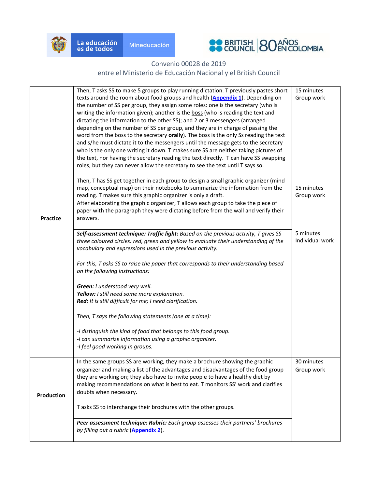



| <b>Practice</b> | Then, T asks SS to make 5 groups to play running dictation. T previously pastes short<br>texts around the room about food groups and health (Appendix 1). Depending on<br>the number of SS per group, they assign some roles: one is the secretary (who is<br>writing the information given); another is the boss (who is reading the text and<br>dictating the information to the other SS); and 2 or 3 messengers (arranged<br>depending on the number of SS per group, and they are in charge of passing the<br>word from the boss to the secretary orally). The boss is the only Ss reading the text<br>and s/he must dictate it to the messengers until the message gets to the secretary<br>who is the only one writing it down. T makes sure SS are neither taking pictures of<br>the text, nor having the secretary reading the text directly. T can have SS swapping<br>roles, but they can never allow the secretary to see the text until T says so.<br>Then, T has SS get together in each group to design a small graphic organizer (mind<br>map, conceptual map) on their notebooks to summarize the information from the<br>reading. T makes sure this graphic organizer is only a draft.<br>After elaborating the graphic organizer, T allows each group to take the piece of<br>paper with the paragraph they were dictating before from the wall and verify their<br>answers.<br>Self-assessment technique: Traffic light: Based on the previous activity, T gives SS<br>three coloured circles: red, green and yellow to evaluate their understanding of the<br>vocabulary and expressions used in the previous activity.<br>For this, T asks SS to raise the paper that corresponds to their understanding based<br>on the following instructions:<br>Green: I understood very well.<br>Yellow: I still need some more explanation.<br>Red: It is still difficult for me; I need clarification.<br>Then, T says the following statements (one at a time):<br>-I distinguish the kind of food that belongs to this food group.<br>-I can summarize information using a graphic organizer. | 15 minutes<br>Group work<br>15 minutes<br>Group work<br>5 minutes<br>Individual work |
|-----------------|--------------------------------------------------------------------------------------------------------------------------------------------------------------------------------------------------------------------------------------------------------------------------------------------------------------------------------------------------------------------------------------------------------------------------------------------------------------------------------------------------------------------------------------------------------------------------------------------------------------------------------------------------------------------------------------------------------------------------------------------------------------------------------------------------------------------------------------------------------------------------------------------------------------------------------------------------------------------------------------------------------------------------------------------------------------------------------------------------------------------------------------------------------------------------------------------------------------------------------------------------------------------------------------------------------------------------------------------------------------------------------------------------------------------------------------------------------------------------------------------------------------------------------------------------------------------------------------------------------------------------------------------------------------------------------------------------------------------------------------------------------------------------------------------------------------------------------------------------------------------------------------------------------------------------------------------------------------------------------------------------------------------------------------------------------------------------------------------------------------|--------------------------------------------------------------------------------------|
|                 | -I feel good working in groups.                                                                                                                                                                                                                                                                                                                                                                                                                                                                                                                                                                                                                                                                                                                                                                                                                                                                                                                                                                                                                                                                                                                                                                                                                                                                                                                                                                                                                                                                                                                                                                                                                                                                                                                                                                                                                                                                                                                                                                                                                                                                              |                                                                                      |
| Production      | In the same groups SS are working, they make a brochure showing the graphic<br>organizer and making a list of the advantages and disadvantages of the food group<br>they are working on; they also have to invite people to have a healthy diet by<br>making recommendations on what is best to eat. T monitors SS' work and clarifies<br>doubts when necessary.<br>T asks SS to interchange their brochures with the other groups.                                                                                                                                                                                                                                                                                                                                                                                                                                                                                                                                                                                                                                                                                                                                                                                                                                                                                                                                                                                                                                                                                                                                                                                                                                                                                                                                                                                                                                                                                                                                                                                                                                                                          | 30 minutes<br>Group work                                                             |
|                 | Peer assessment technique: Rubric: Each group assesses their partners' brochures<br>by filling out a rubric (Appendix 2).                                                                                                                                                                                                                                                                                                                                                                                                                                                                                                                                                                                                                                                                                                                                                                                                                                                                                                                                                                                                                                                                                                                                                                                                                                                                                                                                                                                                                                                                                                                                                                                                                                                                                                                                                                                                                                                                                                                                                                                    |                                                                                      |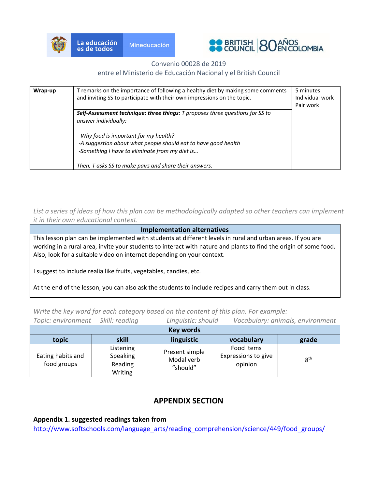



#### Convenio 00028 de 2019

#### entre el Ministerio de Educación Nacional y el British Council

| Wrap-up | T remarks on the importance of following a healthy diet by making some comments<br>and inviting SS to participate with their own impressions on the topic. | 5 minutes<br>Individual work<br>Pair work |
|---------|------------------------------------------------------------------------------------------------------------------------------------------------------------|-------------------------------------------|
|         | Self-Assessment technique: three things: T proposes three questions for SS to<br>answer individually:                                                      |                                           |
|         | -Why food is important for my health?<br>-A suggestion about what people should eat to have good health<br>-Something I have to eliminate from my diet is  |                                           |
|         | Then, T asks SS to make pairs and share their answers.                                                                                                     |                                           |

*List a series of ideas of how this plan can be methodologically adapted so other teachers can implement it in their own educational context.*

#### **Implementation alternatives**

This lesson plan can be implemented with students at different levels in rural and urban areas. If you are working in a rural area, invite your students to interact with nature and plants to find the origin of some food. Also, look for a suitable video on internet depending on your context.

I suggest to include realia like fruits, vegetables, candies, etc.

At the end of the lesson, you can also ask the students to include recipes and carry them out in class.

| Topic: environment               | Skill: reading                              | Linguistic: should                       |                                              | Vocabulary: animals, environment |  |  |  |
|----------------------------------|---------------------------------------------|------------------------------------------|----------------------------------------------|----------------------------------|--|--|--|
|                                  | <b>Key words</b>                            |                                          |                                              |                                  |  |  |  |
| topic                            | skill                                       | linguistic                               | vocabulary                                   | grade                            |  |  |  |
| Eating habits and<br>food groups | Listening<br>Speaking<br>Reading<br>Writing | Present simple<br>Modal verb<br>"should" | Food items<br>Expressions to give<br>opinion | 8 <sup>th</sup>                  |  |  |  |

*Write the key word for each category based on the content of this plan. For example:*

## **APPENDIX SECTION**

<span id="page-4-0"></span>**Appendix 1. suggested readings taken from**

[http://www.softschools.com/language\\_arts/reading\\_comprehension/science/449/food\\_groups/](http://www.softschools.com/language_arts/reading_comprehension/science/449/food_groups/)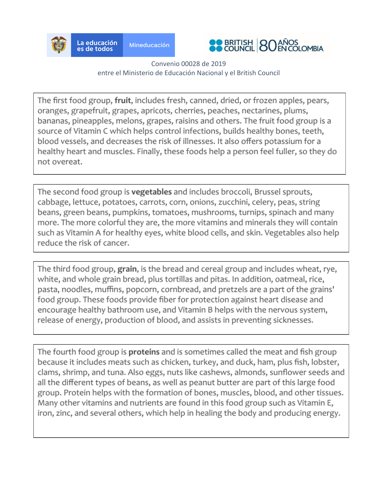



The first food group, fruit, includes fresh, canned, dried, or frozen apples, pears, oranges, grapefruit, grapes, apricots, cherries, peaches, nectarines, plums, bananas, pineapples, melons, grapes, raisins and others. The fruit food group is a source of Vitamin C which helps control infections, builds healthy bones, teeth, blood vessels, and decreases the risk of illnesses. It also offers potassium for a healthy heart and muscles. Finally, these foods help a person feel fuller, so they do not overeat.

The second food group is vegetables and includes broccoli, Brussel sprouts, cabbage, lettuce, potatoes, carrots, corn, onions, zucchini, celery, peas, string beans, green beans, pumpkins, tomatoes, mushrooms, turnips, spinach and many more. The more colorful they are, the more vitamins and minerals they will contain such as Vitamin A for healthy eyes, white blood cells, and skin. Vegetables also help reduce the risk of cancer.

The third food group, grain, is the bread and cereal group and includes wheat, rye, white, and whole grain bread, plus tortillas and pitas. In addition, oatmeal, rice, pasta, noodles, muffins, popcorn, cornbread, and pretzels are a part of the grains' food group. These foods provide fiber for protection against heart disease and encourage healthy bathroom use, and Vitamin B helps with the nervous system, release of energy, production of blood, and assists in preventing sicknesses.

The fourth food group is **proteins** and is sometimes called the meat and fish group because it includes meats such as chicken, turkey, and duck, ham, plus fish, lobster, clams, shrimp, and tuna. Also eggs, nuts like cashews, almonds, sunflower seeds and all the different types of beans, as well as peanut butter are part of this large food group. Protein helps with the formation of bones, muscles, blood, and other tissues. Many other vitamins and nutrients are found in this food group such as Vitamin E, iron, zinc, and several others, which help in healing the body and producing energy.